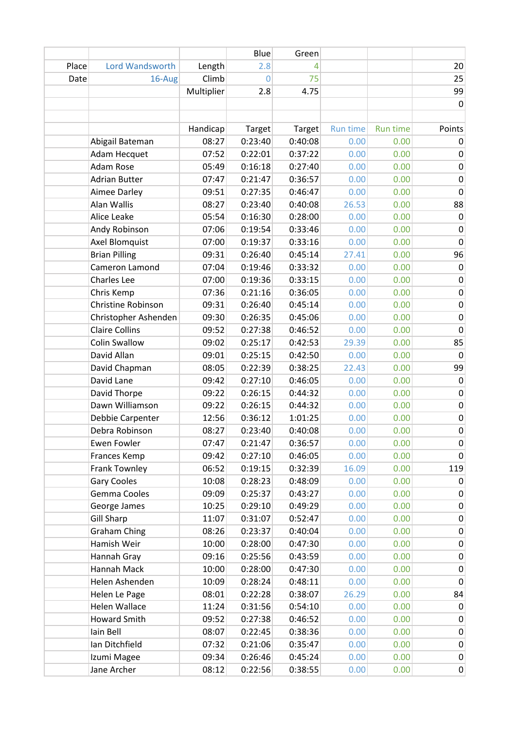|       |                        |            | Blue    | Green   |                 |                 |             |
|-------|------------------------|------------|---------|---------|-----------------|-----------------|-------------|
| Place | <b>Lord Wandsworth</b> | Length     | 2.8     | 4       |                 |                 | 20          |
| Date  | 16-Aug                 | Climb      | 0       | 75      |                 |                 | 25          |
|       |                        | Multiplier | 2.8     | 4.75    |                 |                 | 99          |
|       |                        |            |         |         |                 |                 | $\mathbf 0$ |
|       |                        |            |         |         |                 |                 |             |
|       |                        | Handicap   | Target  | Target  | <b>Run time</b> | <b>Run time</b> | Points      |
|       | Abigail Bateman        | 08:27      | 0:23:40 | 0:40:08 | 0.00            | 0.00            | 0           |
|       | Adam Hecquet           | 07:52      | 0:22:01 | 0:37:22 | 0.00            | 0.00            | 0           |
|       | <b>Adam Rose</b>       | 05:49      | 0:16:18 | 0:27:40 | 0.00            | 0.00            | 0           |
|       | <b>Adrian Butter</b>   | 07:47      | 0:21:47 | 0:36:57 | 0.00            | 0.00            | 0           |
|       | Aimee Darley           | 09:51      | 0:27:35 | 0:46:47 | 0.00            | 0.00            | $\pmb{0}$   |
|       | Alan Wallis            | 08:27      | 0:23:40 | 0:40:08 | 26.53           | 0.00            | 88          |
|       | Alice Leake            | 05:54      | 0:16:30 | 0:28:00 | 0.00            | 0.00            | $\pmb{0}$   |
|       | Andy Robinson          | 07:06      | 0:19:54 | 0:33:46 | 0.00            | 0.00            | 0           |
|       | Axel Blomquist         | 07:00      | 0:19:37 | 0:33:16 | 0.00            | 0.00            | $\mathbf 0$ |
|       | <b>Brian Pilling</b>   | 09:31      | 0:26:40 | 0:45:14 | 27.41           | 0.00            | 96          |
|       | Cameron Lamond         | 07:04      | 0:19:46 | 0:33:32 | 0.00            | 0.00            | $\pmb{0}$   |
|       | Charles Lee            | 07:00      | 0:19:36 | 0:33:15 | 0.00            | 0.00            | 0           |
|       | Chris Kemp             | 07:36      | 0:21:16 | 0:36:05 | 0.00            | 0.00            | 0           |
|       | Christine Robinson     | 09:31      | 0:26:40 | 0:45:14 | 0.00            | 0.00            | $\pmb{0}$   |
|       | Christopher Ashenden   | 09:30      | 0:26:35 | 0:45:06 | 0.00            | 0.00            | $\pmb{0}$   |
|       | <b>Claire Collins</b>  | 09:52      | 0:27:38 | 0:46:52 | 0.00            | 0.00            | $\mathbf 0$ |
|       | <b>Colin Swallow</b>   | 09:02      | 0:25:17 | 0:42:53 | 29.39           | 0.00            | 85          |
|       | David Allan            | 09:01      | 0:25:15 | 0:42:50 | 0.00            | 0.00            | $\Omega$    |
|       | David Chapman          | 08:05      | 0:22:39 | 0:38:25 | 22.43           | 0.00            | 99          |
|       | David Lane             | 09:42      | 0:27:10 | 0:46:05 | 0.00            | 0.00            | $\pmb{0}$   |
|       | David Thorpe           | 09:22      | 0:26:15 | 0:44:32 | 0.00            | 0.00            | $\pmb{0}$   |
|       | Dawn Williamson        | 09:22      | 0:26:15 | 0:44:32 | 0.00            | 0.00            | 0           |
|       | Debbie Carpenter       | 12:56      | 0:36:12 | 1:01:25 | 0.00            | 0.00            | $\pmb{0}$   |
|       | Debra Robinson         | 08:27      | 0:23:40 | 0:40:08 | 0.00            | 0.00            | $\mathsf 0$ |
|       | <b>Ewen Fowler</b>     | 07:47      | 0:21:47 | 0:36:57 | 0.00            | 0.00            | 0           |
|       | Frances Kemp           | 09:42      | 0:27:10 | 0:46:05 | 0.00            | 0.00            | 0           |
|       | Frank Townley          | 06:52      | 0:19:15 | 0:32:39 | 16.09           | 0.00            | 119         |
|       | <b>Gary Cooles</b>     | 10:08      | 0:28:23 | 0:48:09 | 0.00            | 0.00            | $\mathbf 0$ |
|       | Gemma Cooles           | 09:09      | 0:25:37 | 0:43:27 | 0.00            | 0.00            | 0           |
|       | George James           | 10:25      | 0:29:10 | 0:49:29 | 0.00            | 0.00            | $\pmb{0}$   |
|       | <b>Gill Sharp</b>      | 11:07      | 0:31:07 | 0:52:47 | 0.00            | 0.00            | 0           |
|       | <b>Graham Ching</b>    | 08:26      | 0:23:37 | 0:40:04 | 0.00            | 0.00            | $\pmb{0}$   |
|       | Hamish Weir            | 10:00      | 0:28:00 | 0:47:30 | 0.00            | 0.00            | $\pmb{0}$   |
|       | Hannah Gray            | 09:16      | 0:25:56 | 0:43:59 | 0.00            | 0.00            | 0           |
|       | Hannah Mack            | 10:00      | 0:28:00 | 0:47:30 | 0.00            | 0.00            | $\pmb{0}$   |
|       | Helen Ashenden         | 10:09      | 0:28:24 | 0:48:11 | 0.00            | 0.00            | $\pmb{0}$   |
|       | Helen Le Page          | 08:01      | 0:22:28 | 0:38:07 | 26.29           | 0.00            | 84          |
|       | Helen Wallace          | 11:24      | 0:31:56 | 0:54:10 | 0.00            | 0.00            | $\mathbf 0$ |
|       | <b>Howard Smith</b>    | 09:52      | 0:27:38 | 0:46:52 | 0.00            | 0.00            | 0           |
|       | Iain Bell              | 08:07      | 0:22:45 | 0:38:36 | 0.00            | 0.00            | $\pmb{0}$   |
|       | Ian Ditchfield         | 07:32      | 0:21:06 | 0:35:47 | 0.00            | 0.00            | $\pmb{0}$   |
|       | Izumi Magee            | 09:34      | 0:26:46 | 0:45:24 | 0.00            | 0.00            | $\pmb{0}$   |
|       | Jane Archer            | 08:12      | 0:22:56 | 0:38:55 | 0.00            | 0.00            | $\pmb{0}$   |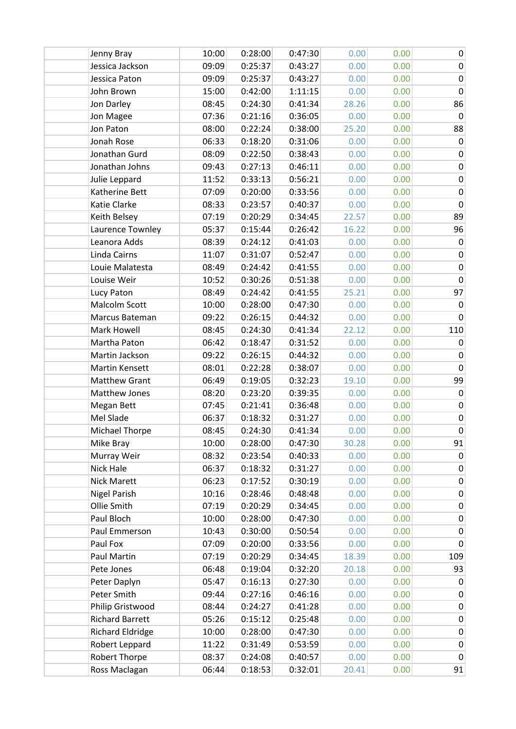| Jenny Bray              | 10:00 | 0:28:00 | 0:47:30 | 0.00  | 0.00 | $\pmb{0}$    |
|-------------------------|-------|---------|---------|-------|------|--------------|
| Jessica Jackson         | 09:09 | 0:25:37 | 0:43:27 | 0.00  | 0.00 | $\mathbf 0$  |
| Jessica Paton           | 09:09 | 0:25:37 | 0:43:27 | 0.00  | 0.00 | $\pmb{0}$    |
| John Brown              | 15:00 | 0:42:00 | 1:11:15 | 0.00  | 0.00 | $\mathbf 0$  |
| Jon Darley              | 08:45 | 0:24:30 | 0:41:34 | 28.26 | 0.00 | 86           |
| Jon Magee               | 07:36 | 0:21:16 | 0:36:05 | 0.00  | 0.00 | 0            |
| Jon Paton               | 08:00 | 0:22:24 | 0:38:00 | 25.20 | 0.00 | 88           |
| Jonah Rose              | 06:33 | 0:18:20 | 0:31:06 | 0.00  | 0.00 | $\mathbf 0$  |
| Jonathan Gurd           | 08:09 | 0:22:50 | 0:38:43 | 0.00  | 0.00 | $\pmb{0}$    |
| Jonathan Johns          | 09:43 | 0:27:13 | 0:46:11 | 0.00  | 0.00 | 0            |
| Julie Leppard           | 11:52 | 0:33:13 | 0:56:21 | 0.00  | 0.00 | $\pmb{0}$    |
| Katherine Bett          | 07:09 | 0:20:00 | 0:33:56 | 0.00  | 0.00 | $\pmb{0}$    |
| Katie Clarke            | 08:33 | 0:23:57 | 0:40:37 | 0.00  | 0.00 | $\mathbf 0$  |
| Keith Belsey            | 07:19 | 0:20:29 | 0:34:45 | 22.57 | 0.00 | 89           |
| Laurence Townley        | 05:37 | 0:15:44 | 0:26:42 | 16.22 | 0.00 | 96           |
| Leanora Adds            | 08:39 | 0:24:12 | 0:41:03 | 0.00  | 0.00 | 0            |
| Linda Cairns            | 11:07 | 0:31:07 | 0:52:47 | 0.00  | 0.00 | $\pmb{0}$    |
| Louie Malatesta         | 08:49 | 0:24:42 | 0:41:55 | 0.00  | 0.00 | $\pmb{0}$    |
| Louise Weir             | 10:52 | 0:30:26 | 0:51:38 | 0.00  | 0.00 | $\pmb{0}$    |
| Lucy Paton              | 08:49 | 0:24:42 | 0:41:55 | 25.21 | 0.00 | 97           |
| Malcolm Scott           | 10:00 | 0:28:00 | 0:47:30 | 0.00  | 0.00 | $\mathbf 0$  |
| Marcus Bateman          | 09:22 | 0:26:15 | 0:44:32 | 0.00  | 0.00 | $\mathbf{0}$ |
| Mark Howell             | 08:45 | 0:24:30 | 0:41:34 | 22.12 | 0.00 | 110          |
| Martha Paton            | 06:42 | 0:18:47 | 0:31:52 | 0.00  | 0.00 | 0            |
| Martin Jackson          | 09:22 | 0:26:15 | 0:44:32 | 0.00  | 0.00 | $\mathbf 0$  |
| Martin Kensett          | 08:01 | 0:22:28 | 0:38:07 | 0.00  | 0.00 | $\pmb{0}$    |
| <b>Matthew Grant</b>    | 06:49 | 0:19:05 | 0:32:23 | 19.10 | 0.00 | 99           |
| Matthew Jones           | 08:20 | 0:23:20 | 0:39:35 | 0.00  | 0.00 | $\mathbf 0$  |
| Megan Bett              | 07:45 | 0:21:41 | 0:36:48 | 0.00  | 0.00 | $\pmb{0}$    |
| Mel Slade               | 06:37 | 0:18:32 | 0:31:27 | 0.00  | 0.00 | $\pmb{0}$    |
| <b>Michael Thorpe</b>   | 08:45 | 0:24:30 | 0:41:34 | 0.00  | 0.00 | $\pmb{0}$    |
| Mike Bray               | 10:00 | 0:28:00 | 0:47:30 | 30.28 | 0.00 | 91           |
| Murray Weir             | 08:32 | 0:23:54 | 0:40:33 | 0.00  | 0.00 | 0            |
| Nick Hale               | 06:37 | 0:18:32 | 0:31:27 | 0.00  | 0.00 | $\pmb{0}$    |
| <b>Nick Marett</b>      | 06:23 | 0:17:52 | 0:30:19 | 0.00  | 0.00 | 0            |
| <b>Nigel Parish</b>     | 10:16 | 0:28:46 | 0:48:48 | 0.00  | 0.00 | 0            |
| Ollie Smith             | 07:19 | 0:20:29 | 0:34:45 | 0.00  | 0.00 | $\pmb{0}$    |
| Paul Bloch              | 10:00 | 0:28:00 | 0:47:30 | 0.00  | 0.00 | 0            |
| Paul Emmerson           | 10:43 | 0:30:00 | 0:50:54 | 0.00  | 0.00 | $\mathbf 0$  |
| Paul Fox                | 07:09 | 0:20:00 | 0:33:56 | 0.00  | 0.00 | $\mathbf 0$  |
| Paul Martin             | 07:19 | 0:20:29 | 0:34:45 | 18.39 | 0.00 | 109          |
| Pete Jones              | 06:48 | 0:19:04 | 0:32:20 | 20.18 | 0.00 | 93           |
| Peter Daplyn            | 05:47 | 0:16:13 | 0:27:30 | 0.00  | 0.00 | 0            |
| Peter Smith             | 09:44 | 0:27:16 | 0:46:16 | 0.00  | 0.00 | $\pmb{0}$    |
| Philip Gristwood        | 08:44 | 0:24:27 | 0:41:28 | 0.00  | 0.00 | $\pmb{0}$    |
| <b>Richard Barrett</b>  | 05:26 | 0:15:12 | 0:25:48 | 0.00  | 0.00 | $\pmb{0}$    |
| <b>Richard Eldridge</b> | 10:00 | 0:28:00 | 0:47:30 | 0.00  | 0.00 | $\pmb{0}$    |
| Robert Leppard          | 11:22 | 0:31:49 | 0:53:59 | 0.00  | 0.00 | $\pmb{0}$    |
| Robert Thorpe           | 08:37 | 0:24:08 | 0:40:57 | 0.00  | 0.00 | $\pmb{0}$    |
| Ross Maclagan           | 06:44 | 0:18:53 | 0:32:01 | 20.41 | 0.00 | 91           |